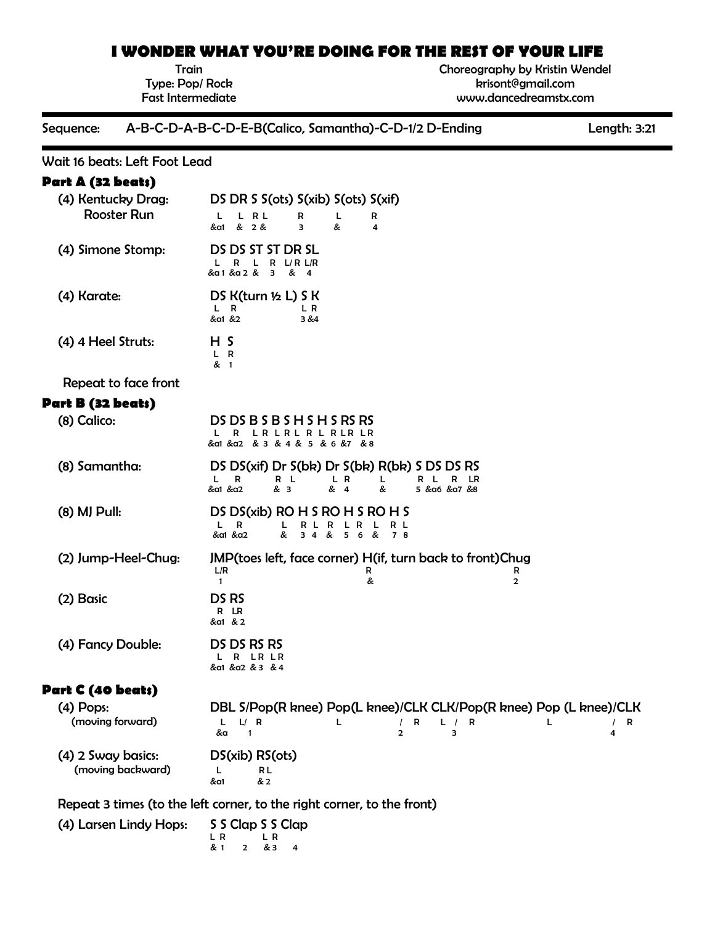# **I WONDER WHAT YOU'RE DOING FOR THE REST OF YOUR LIFE**

Train Type: Pop/ Rock Fast Intermediate Choreography by Kristin Wendel krisont@gmail.com www.dancedreamstx.com

#### Sequence: A-B-C-D-A-B-C-D-E-B(Calico, Samantha)-C-D-1/2 D-Ending Length: 3:21

# Wait 16 beats: Left Foot Lead

# **Part A (32 beats)**

| (4) Kentucky Drag:                      | DS DR S S(ots) S(xib) S(ots) S(xif)                                                                                                                                   |
|-----------------------------------------|-----------------------------------------------------------------------------------------------------------------------------------------------------------------------|
| <b>Rooster Run</b>                      | L R L<br>L.<br>R<br>L<br>R<br>&a1 & 2 &<br>&<br>з<br>4                                                                                                                |
| (4) Simone Stomp:                       | DS DS ST ST DR SL<br>R<br>R<br>$L/R$ $L/R$<br>&a1 &a 2 & 3<br>& 4                                                                                                     |
| (4) Karate:                             | DS $K(turn ½ L)$ S $K$<br>L R<br>L R<br>&a1 &2<br>3 & 4                                                                                                               |
| (4) 4 Heel Struts:                      | H S<br>L R<br>& 1                                                                                                                                                     |
| Repeat to face front                    |                                                                                                                                                                       |
| Part B (32 beats)                       |                                                                                                                                                                       |
| (8) Calico:                             | DS DS B S B S H S H S RS RS<br>R LR LR L R L R LR LR<br>& a1 & a2 & 3 & 4 & 5 & 6 &7 & 8                                                                              |
| (8) Samantha:                           | DS DS(xif) Dr S(bk) Dr S(bk) R(bk) S DS DS RS<br>R L<br>L R<br>R L R LR<br>L.<br>R<br>L<br>&a1 &a2<br>& 3<br>& 4<br>5 & α6 & α7 & 8<br>&                              |
| (8) MJ Pull:                            | DS DS(xib) RO H S RO H S RO H S<br>$L$ R<br>R L R L R L<br>R L<br>& 34 & 56 &<br>&a1 &a2<br>78                                                                        |
| (2) Jump-Heel-Chug:                     | JMP (toes left, face corner) H (if, turn back to front) Chug<br>L/R<br>R<br>R<br>&<br>$\mathbf{1}$<br>$\overline{2}$                                                  |
| (2) Basic                               | DS <sub>RS</sub><br>R LR<br>&a1 & 2                                                                                                                                   |
| (4) Fancy Double:                       | DS DS RS RS<br>L R LR LR<br>&a1 &a2 & 3 & 4                                                                                                                           |
| Part C (40 beats)                       |                                                                                                                                                                       |
| $(4)$ Pops:<br>(moving forward)         | DBL S/Pop(R knee) Pop(L knee)/CLK CLK/Pop(R knee) Pop (L knee)/CLK<br>$L$ $L$ R<br>/ R<br>L.<br>L / R<br>L<br>$/$ R<br>$\overline{2}$<br>3<br>&a<br>$\mathbf{1}$<br>4 |
| (4) 2 Sway basics:<br>(moving backward) | DS(xib) RS(ots)<br>RL<br>L<br>& 2<br>&a1                                                                                                                              |
|                                         | Repeat 3 times (to the left corner, to the right corner, to the front)                                                                                                |

| (4) Larsen Lindy Hops: S S Clap S S Clap |                               |                |                |  |
|------------------------------------------|-------------------------------|----------------|----------------|--|
|                                          | $\overline{R}$ $\overline{R}$ |                |                |  |
|                                          | & 1                           | $\overline{2}$ | <b>&amp; 3</b> |  |